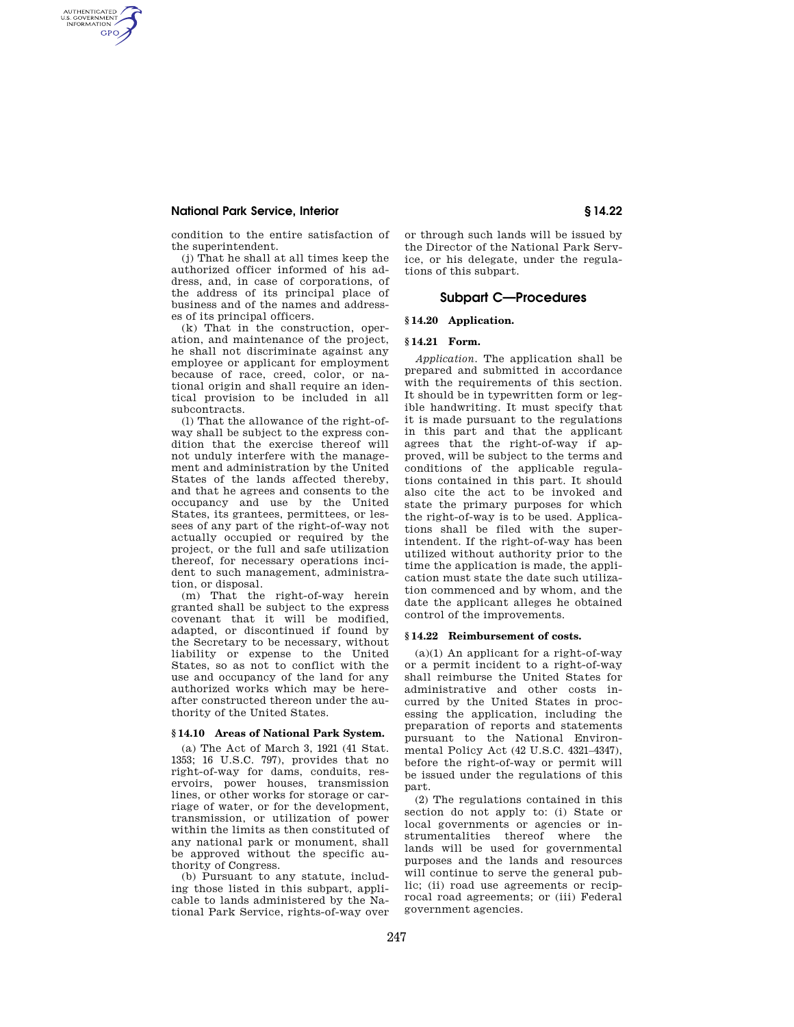# **National Park Service, Interior § 14.22**

AUTHENTICATED<br>U.S. GOVERNMENT<br>INFORMATION **GPO** 

> condition to the entire satisfaction of the superintendent.

(j) That he shall at all times keep the authorized officer informed of his address, and, in case of corporations, of the address of its principal place of business and of the names and addresses of its principal officers.

(k) That in the construction, operation, and maintenance of the project, he shall not discriminate against any employee or applicant for employment because of race, creed, color, or national origin and shall require an identical provision to be included in all subcontracts.

(l) That the allowance of the right-ofway shall be subject to the express condition that the exercise thereof will not unduly interfere with the management and administration by the United States of the lands affected thereby, and that he agrees and consents to the occupancy and use by the United States, its grantees, permittees, or lessees of any part of the right-of-way not actually occupied or required by the project, or the full and safe utilization thereof, for necessary operations incident to such management, administration, or disposal.

(m) That the right-of-way herein granted shall be subject to the express covenant that it will be modified, adapted, or discontinued if found by the Secretary to be necessary, without liability or expense to the United States, so as not to conflict with the use and occupancy of the land for any authorized works which may be hereafter constructed thereon under the authority of the United States.

# **§ 14.10 Areas of National Park System.**

(a) The Act of March 3, 1921 (41 Stat. 1353; 16 U.S.C. 797), provides that no right-of-way for dams, conduits, reservoirs, power houses, transmission lines, or other works for storage or carriage of water, or for the development, transmission, or utilization of power within the limits as then constituted of any national park or monument, shall be approved without the specific authority of Congress.

(b) Pursuant to any statute, including those listed in this subpart, applicable to lands administered by the National Park Service, rights-of-way over or through such lands will be issued by the Director of the National Park Service, or his delegate, under the regulations of this subpart.

# **Subpart C—Procedures**

## **§ 14.20 Application.**

### **§ 14.21 Form.**

*Application.* The application shall be prepared and submitted in accordance with the requirements of this section. It should be in typewritten form or legible handwriting. It must specify that it is made pursuant to the regulations in this part and that the applicant agrees that the right-of-way if approved, will be subject to the terms and conditions of the applicable regulations contained in this part. It should also cite the act to be invoked and state the primary purposes for which the right-of-way is to be used. Applications shall be filed with the superintendent. If the right-of-way has been utilized without authority prior to the time the application is made, the application must state the date such utilization commenced and by whom, and the date the applicant alleges he obtained control of the improvements.

#### **§ 14.22 Reimbursement of costs.**

(a)(1) An applicant for a right-of-way or a permit incident to a right-of-way shall reimburse the United States for administrative and other costs incurred by the United States in processing the application, including the preparation of reports and statements pursuant to the National Environmental Policy Act (42 U.S.C. 4321–4347), before the right-of-way or permit will be issued under the regulations of this part.

(2) The regulations contained in this section do not apply to: (i) State or local governments or agencies or instrumentalities thereof where the lands will be used for governmental purposes and the lands and resources will continue to serve the general public; (ii) road use agreements or reciprocal road agreements; or (iii) Federal government agencies.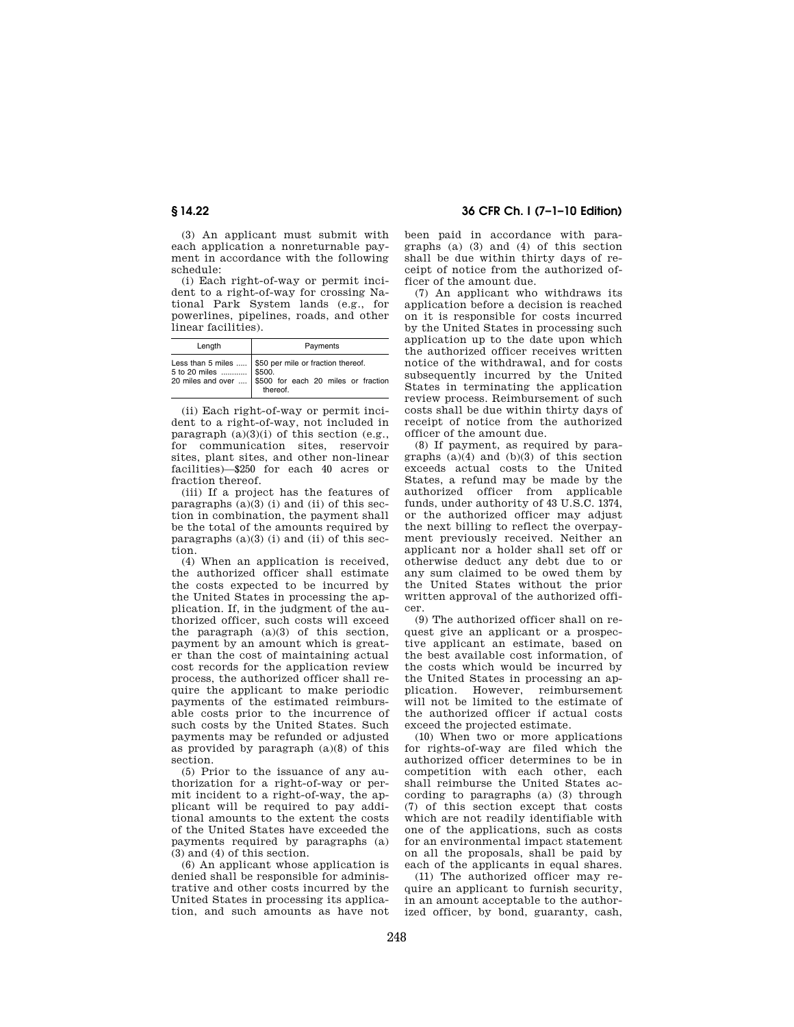(3) An applicant must submit with each application a nonreturnable payment in accordance with the following schedule:

(i) Each right-of-way or permit incident to a right-of-way for crossing National Park System lands (e.g., for powerlines, pipelines, roads, and other linear facilities).

| Length | Payments                                                                                                                                                    |
|--------|-------------------------------------------------------------------------------------------------------------------------------------------------------------|
|        | Less than 5 miles $\vert$ \$50 per mile or fraction thereof.<br>5 to 20 miles  \$500.<br>20 miles and over  \$500 for each 20 miles or fraction<br>thereof. |

(ii) Each right-of-way or permit incident to a right-of-way, not included in paragraph (a)(3)(i) of this section (e.g., for communication sites, reservoir sites, plant sites, and other non-linear facilities)—\$250 for each 40 acres or fraction thereof.

(iii) If a project has the features of paragraphs (a)(3) (i) and (ii) of this section in combination, the payment shall be the total of the amounts required by paragraphs  $(a)(3)$  (i) and (ii) of this section.

(4) When an application is received, the authorized officer shall estimate the costs expected to be incurred by the United States in processing the application. If, in the judgment of the authorized officer, such costs will exceed the paragraph (a)(3) of this section, payment by an amount which is greater than the cost of maintaining actual cost records for the application review process, the authorized officer shall require the applicant to make periodic payments of the estimated reimbursable costs prior to the incurrence of such costs by the United States. Such payments may be refunded or adjusted as provided by paragraph (a)(8) of this section.

(5) Prior to the issuance of any authorization for a right-of-way or permit incident to a right-of-way, the applicant will be required to pay additional amounts to the extent the costs of the United States have exceeded the payments required by paragraphs (a) (3) and (4) of this section.

(6) An applicant whose application is denied shall be responsible for administrative and other costs incurred by the United States in processing its application, and such amounts as have not

# **§ 14.22 36 CFR Ch. I (7–1–10 Edition)**

been paid in accordance with paragraphs (a) (3) and (4) of this section shall be due within thirty days of receipt of notice from the authorized officer of the amount due.

(7) An applicant who withdraws its application before a decision is reached on it is responsible for costs incurred by the United States in processing such application up to the date upon which the authorized officer receives written notice of the withdrawal, and for costs subsequently incurred by the United States in terminating the application review process. Reimbursement of such costs shall be due within thirty days of receipt of notice from the authorized officer of the amount due.

(8) If payment, as required by paragraphs  $(a)(4)$  and  $(b)(3)$  of this section exceeds actual costs to the United States, a refund may be made by the authorized officer from applicable funds, under authority of 43 U.S.C. 1374, or the authorized officer may adjust the next billing to reflect the overpayment previously received. Neither an applicant nor a holder shall set off or otherwise deduct any debt due to or any sum claimed to be owed them by the United States without the prior written approval of the authorized officer.

(9) The authorized officer shall on request give an applicant or a prospective applicant an estimate, based on the best available cost information, of the costs which would be incurred by the United States in processing an application. However, reimbursement will not be limited to the estimate of the authorized officer if actual costs exceed the projected estimate.

(10) When two or more applications for rights-of-way are filed which the authorized officer determines to be in competition with each other, each shall reimburse the United States according to paragraphs (a) (3) through (7) of this section except that costs which are not readily identifiable with one of the applications, such as costs for an environmental impact statement on all the proposals, shall be paid by each of the applicants in equal shares.

(11) The authorized officer may require an applicant to furnish security, in an amount acceptable to the authorized officer, by bond, guaranty, cash,